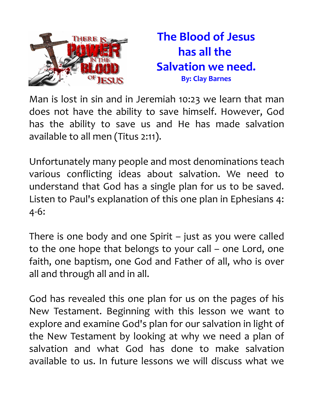

Man is lost in sin and in Jeremiah 10:23 we learn that man does not have the ability to save himself. However, God has the ability to save us and He has made salvation available to all men (Titus 2:11).

Unfortunately many people and most denominations teach various conflicting ideas about salvation. We need to understand that God has a single plan for us to be saved. Listen to Paul's explanation of this one plan in Ephesians 4: 4-6:

There is one body and one Spirit – just as you were called to the one hope that belongs to your call – one Lord, one faith, one baptism, one God and Father of all, who is over all and through all and in all.

God has revealed this one plan for us on the pages of his New Testament. Beginning with this lesson we want to explore and examine God's plan for our salvation in light of the New Testament by looking at why we need a plan of salvation and what God has done to make salvation available to us. In future lessons we will discuss what we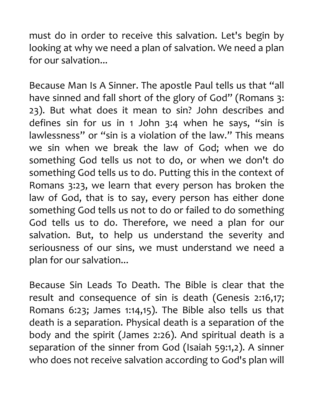must do in order to receive this salvation. Let's begin by looking at why we need a plan of salvation. We need a plan for our salvation...

Because Man Is A Sinner. The apostle Paul tells us that "all have sinned and fall short of the glory of God" (Romans 3: 23). But what does it mean to sin? John describes and defines sin for us in 1 John 3:4 when he says, "sin is lawlessness" or "sin is a violation of the law." This means we sin when we break the law of God; when we do something God tells us not to do, or when we don't do something God tells us to do. Putting this in the context of Romans 3:23, we learn that every person has broken the law of God, that is to say, every person has either done something God tells us not to do or failed to do something God tells us to do. Therefore, we need a plan for our salvation. But, to help us understand the severity and seriousness of our sins, we must understand we need a plan for our salvation...

Because Sin Leads To Death. The Bible is clear that the result and consequence of sin is death (Genesis 2:16,17; Romans 6:23; James 1:14,15). The Bible also tells us that death is a separation. Physical death is a separation of the body and the spirit (James 2:26). And spiritual death is a separation of the sinner from God (Isaiah 59:1,2). A sinner who does not receive salvation according to God's plan will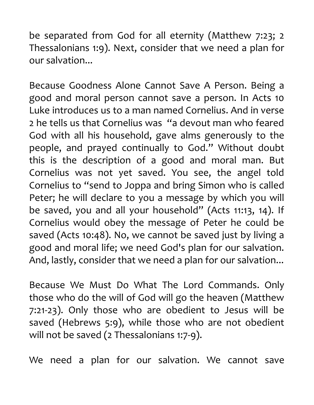be separated from God for all eternity (Matthew 7:23; 2 Thessalonians 1:9). Next, consider that we need a plan for our salvation...

Because Goodness Alone Cannot Save A Person. Being a good and moral person cannot save a person. In Acts 10 Luke introduces us to a man named Cornelius. And in verse 2 he tells us that Cornelius was "a devout man who feared God with all his household, gave alms generously to the people, and prayed continually to God." Without doubt this is the description of a good and moral man. But Cornelius was not yet saved. You see, the angel told Cornelius to "send to Joppa and bring Simon who is called Peter; he will declare to you a message by which you will be saved, you and all your household" (Acts 11:13, 14). If Cornelius would obey the message of Peter he could be saved (Acts 10:48). No, we cannot be saved just by living a good and moral life; we need God's plan for our salvation. And, lastly, consider that we need a plan for our salvation...

Because We Must Do What The Lord Commands. Only those who do the will of God will go the heaven (Matthew 7:21-23). Only those who are obedient to Jesus will be saved (Hebrews 5:9), while those who are not obedient will not be saved (2 Thessalonians 1:7-9).

We need a plan for our salvation. We cannot save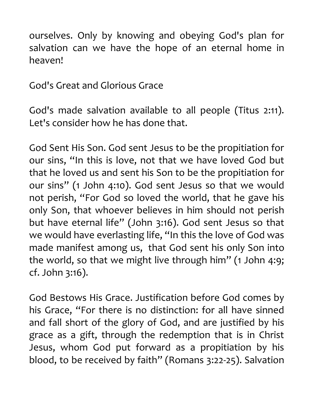ourselves. Only by knowing and obeying God's plan for salvation can we have the hope of an eternal home in heaven!

God's Great and Glorious Grace

God's made salvation available to all people (Titus 2:11). Let's consider how he has done that.

God Sent His Son. God sent Jesus to be the propitiation for our sins, "In this is love, not that we have loved God but that he loved us and sent his Son to be the propitiation for our sins" (1 John 4:10). God sent Jesus so that we would not perish, "For God so loved the world, that he gave his only Son, that whoever believes in him should not perish but have eternal life" (John 3:16). God sent Jesus so that we would have everlasting life, "In this the love of God was made manifest among us, that God sent his only Son into the world, so that we might live through him" (1 John 4:9; cf. John 3:16).

God Bestows His Grace. Justification before God comes by his Grace, "For there is no distinction: for all have sinned and fall short of the glory of God, and are justified by his grace as a gift, through the redemption that is in Christ Jesus, whom God put forward as a propitiation by his blood, to be received by faith" (Romans 3:22-25). Salvation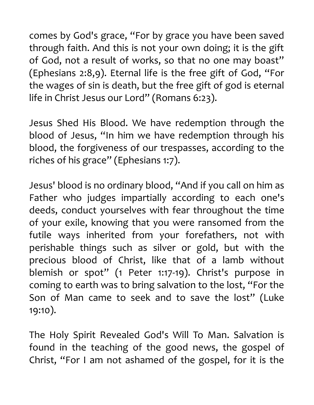comes by God's grace, "For by grace you have been saved through faith. And this is not your own doing; it is the gift of God, not a result of works, so that no one may boast" (Ephesians 2:8,9). Eternal life is the free gift of God, "For the wages of sin is death, but the free gift of god is eternal life in Christ Jesus our Lord" (Romans 6:23).

Jesus Shed His Blood. We have redemption through the blood of Jesus, "In him we have redemption through his blood, the forgiveness of our trespasses, according to the riches of his grace" (Ephesians 1:7).

Jesus' blood is no ordinary blood, "And if you call on him as Father who judges impartially according to each one's deeds, conduct yourselves with fear throughout the time of your exile, knowing that you were ransomed from the futile ways inherited from your forefathers, not with perishable things such as silver or gold, but with the precious blood of Christ, like that of a lamb without blemish or spot" (1 Peter 1:17-19). Christ's purpose in coming to earth was to bring salvation to the lost, "For the Son of Man came to seek and to save the lost" (Luke 19:10).

The Holy Spirit Revealed God's Will To Man. Salvation is found in the teaching of the good news, the gospel of Christ, "For I am not ashamed of the gospel, for it is the